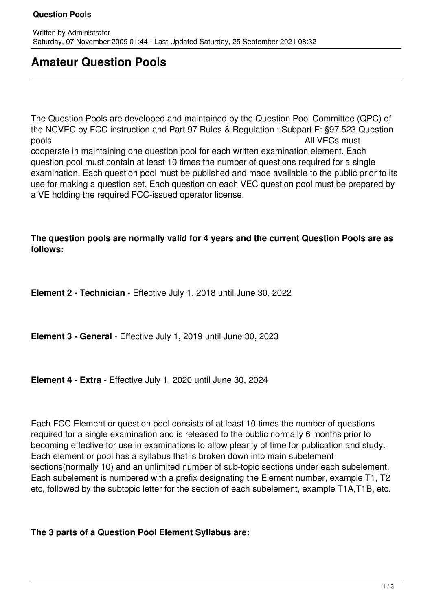## **Question Pools**

## **Amateur Question Pools**

The Question Pools are developed and maintained by the Question Pool Committee (QPC) of the NCVEC by FCC instruction and Part 97 Rules & Regulation : Subpart F: §97.523 Question pools and a pools and a pools and a pools and a pools and a pools and a pools and  $\lambda$  and  $\lambda$  and  $\lambda$  and  $\lambda$  and  $\lambda$  and  $\lambda$  and  $\lambda$  and  $\lambda$  and  $\lambda$  and  $\lambda$  and  $\lambda$  and  $\lambda$  and  $\lambda$  and  $\lambda$  and  $\lambda$  and  $\lambda$  cooperate in maintaining one question pool for each written examination element. Each question pool must contain at least 10 times the number of questions required for a single examination. Each question pool must be published and made available to the public prior to its use for making a question set. Each question on each VEC question pool must be prepared by a VE holding the required FCC-issued operator license.

## **The question pools are normally valid for 4 years and the current Question Pools are as follows:**

**Element 2 - Technician** - Effective July 1, 2018 until June 30, 2022

**Element 3 - General** - Effective July 1, 2019 until June 30, 2023

**Element 4 - Extra** - Effective July 1, 2020 until June 30, 2024

Each FCC Element or question pool consists of at least 10 times the number of questions required for a single examination and is released to the public normally 6 months prior to becoming effective for use in examinations to allow pleanty of time for publication and study. Each element or pool has a syllabus that is broken down into main subelement sections(normally 10) and an unlimited number of sub-topic sections under each subelement. Each subelement is numbered with a prefix designating the Element number, example T1, T2 etc, followed by the subtopic letter for the section of each subelement, example T1A,T1B, etc.

**The 3 parts of a Question Pool Element Syllabus are:**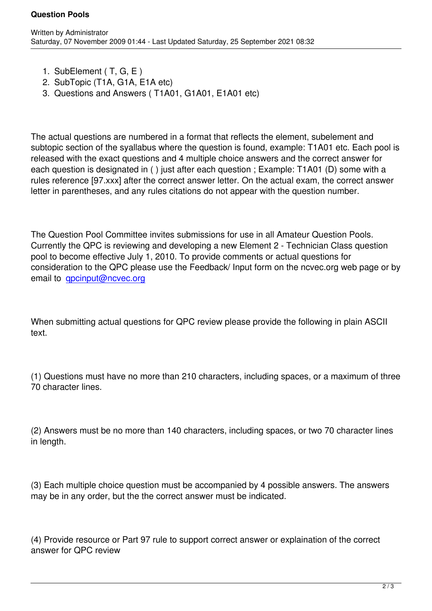1. SubElement ( T, G, E )

Written by Administrator and Administrator and Administrator and Administrator and Administrator and Administrator and Administrator and Administrator and Administrator and Administrator and Administrator and Administrator

- 2. SubTopic (T1A, G1A, E1A etc)
- 3. Questions and Answers ( T1A01, G1A01, E1A01 etc)

The actual questions are numbered in a format that reflects the element, subelement and subtopic section of the syallabus where the question is found, example: T1A01 etc. Each pool is released with the exact questions and 4 multiple choice answers and the correct answer for each question is designated in ( ) just after each question ; Example: T1A01 (D) some with a rules reference [97.xxx] after the correct answer letter. On the actual exam, the correct answer letter in parentheses, and any rules citations do not appear with the question number.

The Question Pool Committee invites submissions for use in all Amateur Question Pools. Currently the QPC is reviewing and developing a new Element 2 - Technician Class question pool to become effective July 1, 2010. To provide comments or actual questions for consideration to the QPC please use the Feedback/ Input form on the ncvec.org web page or by email to qpcinput@ncvec.org

When su[bmitting actual questi](mailto:%20qpcinput@ncvec.org)ons for QPC review please provide the following in plain ASCII text.

(1) Questions must have no more than 210 characters, including spaces, or a maximum of three 70 character lines.

(2) Answers must be no more than 140 characters, including spaces, or two 70 character lines in length.

(3) Each multiple choice question must be accompanied by 4 possible answers. The answers may be in any order, but the the correct answer must be indicated.

(4) Provide resource or Part 97 rule to support correct answer or explaination of the correct answer for QPC review